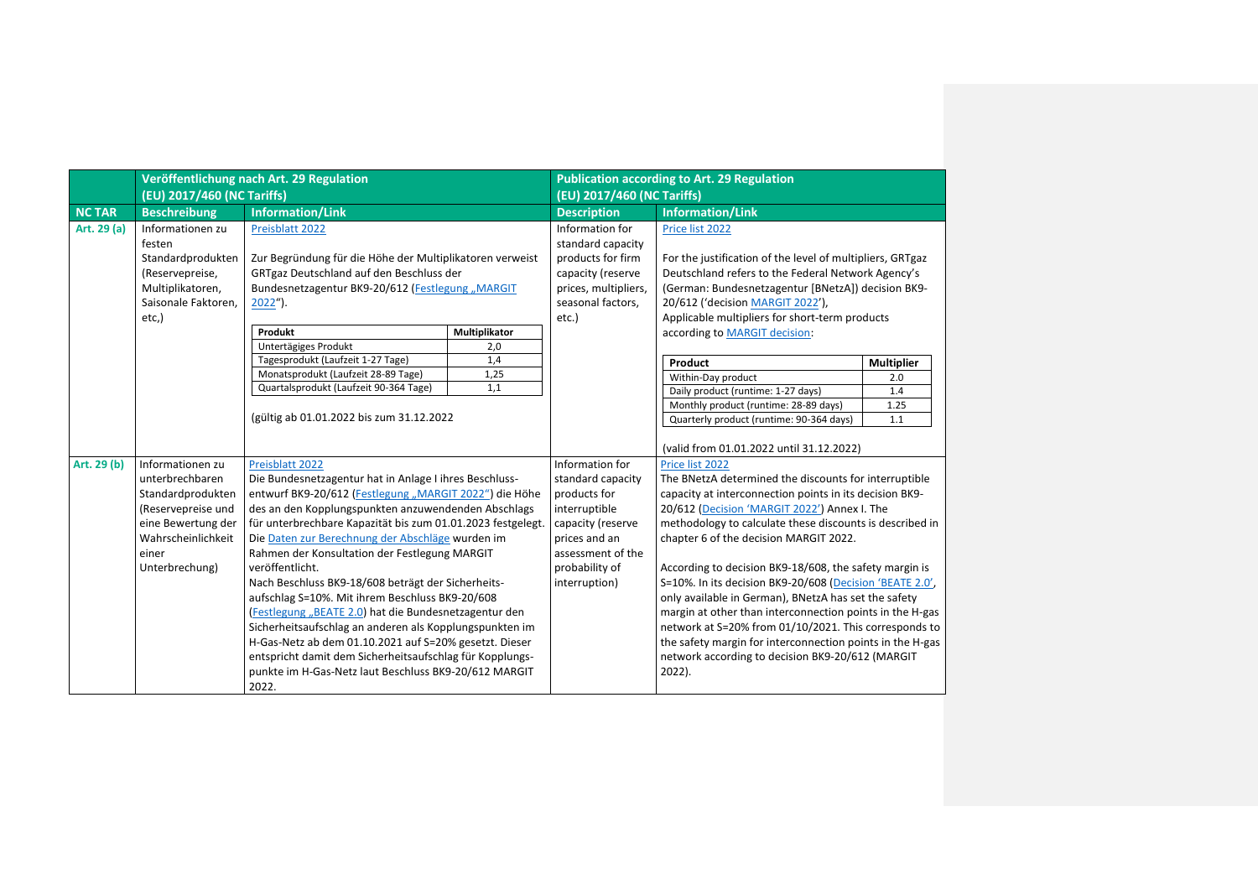|              | (EU) 2017/460 (NC Tariffs) | Veröffentlichung nach Art. 29 Regulation                    |               | <b>Publication according to Art. 29 Regulation</b><br>(EU) 2017/460 (NC Tariffs) |                                                           |                   |
|--------------|----------------------------|-------------------------------------------------------------|---------------|----------------------------------------------------------------------------------|-----------------------------------------------------------|-------------------|
| <b>NCTAR</b> | <b>Beschreibung</b>        | <b>Information/Link</b>                                     |               | <b>Description</b>                                                               | <b>Information/Link</b>                                   |                   |
| Art. 29 (a)  | Informationen zu           | Preisblatt 2022                                             |               | Information for                                                                  | Price list 2022                                           |                   |
|              | festen                     |                                                             |               | standard capacity                                                                |                                                           |                   |
|              | Standardprodukten          | Zur Begründung für die Höhe der Multiplikatoren verweist    |               | products for firm                                                                | For the justification of the level of multipliers, GRTgaz |                   |
|              | (Reservepreise,            | GRTgaz Deutschland auf den Beschluss der                    |               | capacity (reserve                                                                | Deutschland refers to the Federal Network Agency's        |                   |
|              | Multiplikatoren,           | Bundesnetzagentur BK9-20/612 (Festlegung "MARGIT            |               | prices, multipliers,                                                             | (German: Bundesnetzagentur [BNetzA]) decision BK9-        |                   |
|              | Saisonale Faktoren.        | $2022$ ").                                                  |               | seasonal factors,                                                                | 20/612 ('decision MARGIT 2022'),                          |                   |
|              | etc.)                      |                                                             |               | etc.)                                                                            | Applicable multipliers for short-term products            |                   |
|              |                            | Produkt                                                     | Multiplikator |                                                                                  | according to MARGIT decision:                             |                   |
|              |                            | Untertägiges Produkt                                        | 2,0           |                                                                                  |                                                           |                   |
|              |                            | Tagesprodukt (Laufzeit 1-27 Tage)                           | 1,4           |                                                                                  | Product                                                   | <b>Multiplier</b> |
|              |                            | Monatsprodukt (Laufzeit 28-89 Tage)                         | 1,25          |                                                                                  | Within-Day product                                        | 2.0               |
|              |                            | Quartalsprodukt (Laufzeit 90-364 Tage)                      | 1,1           |                                                                                  | Daily product (runtime: 1-27 days)                        | 1.4               |
|              |                            |                                                             |               |                                                                                  | Monthly product (runtime: 28-89 days)                     | 1.25              |
|              |                            | (gültig ab 01.01.2022 bis zum 31.12.2022                    |               |                                                                                  | Quarterly product (runtime: 90-364 days)                  | 1.1               |
|              |                            |                                                             |               |                                                                                  | (valid from 01.01.2022 until 31.12.2022)                  |                   |
| Art. 29 (b)  | Informationen zu           | Preisblatt 2022                                             |               | Information for                                                                  | Price list 2022                                           |                   |
|              | unterbrechbaren            | Die Bundesnetzagentur hat in Anlage I ihres Beschluss-      |               | standard capacity                                                                | The BNetzA determined the discounts for interruptible     |                   |
|              | Standardprodukten          | entwurf BK9-20/612 (Festlegung "MARGIT 2022") die Höhe      |               | products for                                                                     | capacity at interconnection points in its decision BK9-   |                   |
|              | (Reservepreise und         | des an den Kopplungspunkten anzuwendenden Abschlags         |               | interruptible                                                                    | 20/612 (Decision 'MARGIT 2022') Annex I. The              |                   |
|              | eine Bewertung der         | für unterbrechbare Kapazität bis zum 01.01.2023 festgelegt. |               | capacity (reserve                                                                | methodology to calculate these discounts is described in  |                   |
|              | Wahrscheinlichkeit         | Die Daten zur Berechnung der Abschläge wurden im            |               | prices and an                                                                    | chapter 6 of the decision MARGIT 2022.                    |                   |
|              | einer                      | Rahmen der Konsultation der Festlegung MARGIT               |               | assessment of the                                                                |                                                           |                   |
|              | Unterbrechung)             | veröffentlicht.                                             |               | probability of                                                                   | According to decision BK9-18/608, the safety margin is    |                   |
|              |                            | Nach Beschluss BK9-18/608 beträgt der Sicherheits-          |               | interruption)                                                                    | S=10%. In its decision BK9-20/608 (Decision 'BEATE 2.0',  |                   |
|              |                            | aufschlag S=10%. Mit ihrem Beschluss BK9-20/608             |               |                                                                                  | only available in German), BNetzA has set the safety      |                   |
|              |                            | (Festlegung "BEATE 2.0) hat die Bundesnetzagentur den       |               |                                                                                  | margin at other than interconnection points in the H-gas  |                   |
|              |                            | Sicherheitsaufschlag an anderen als Kopplungspunkten im     |               |                                                                                  | network at S=20% from 01/10/2021. This corresponds to     |                   |
|              |                            | H-Gas-Netz ab dem 01.10.2021 auf S=20% gesetzt. Dieser      |               |                                                                                  | the safety margin for interconnection points in the H-gas |                   |
|              |                            | entspricht damit dem Sicherheitsaufschlag für Kopplungs-    |               |                                                                                  | network according to decision BK9-20/612 (MARGIT          |                   |
|              |                            | punkte im H-Gas-Netz laut Beschluss BK9-20/612 MARGIT       |               |                                                                                  | 2022).                                                    |                   |
|              |                            | 2022.                                                       |               |                                                                                  |                                                           |                   |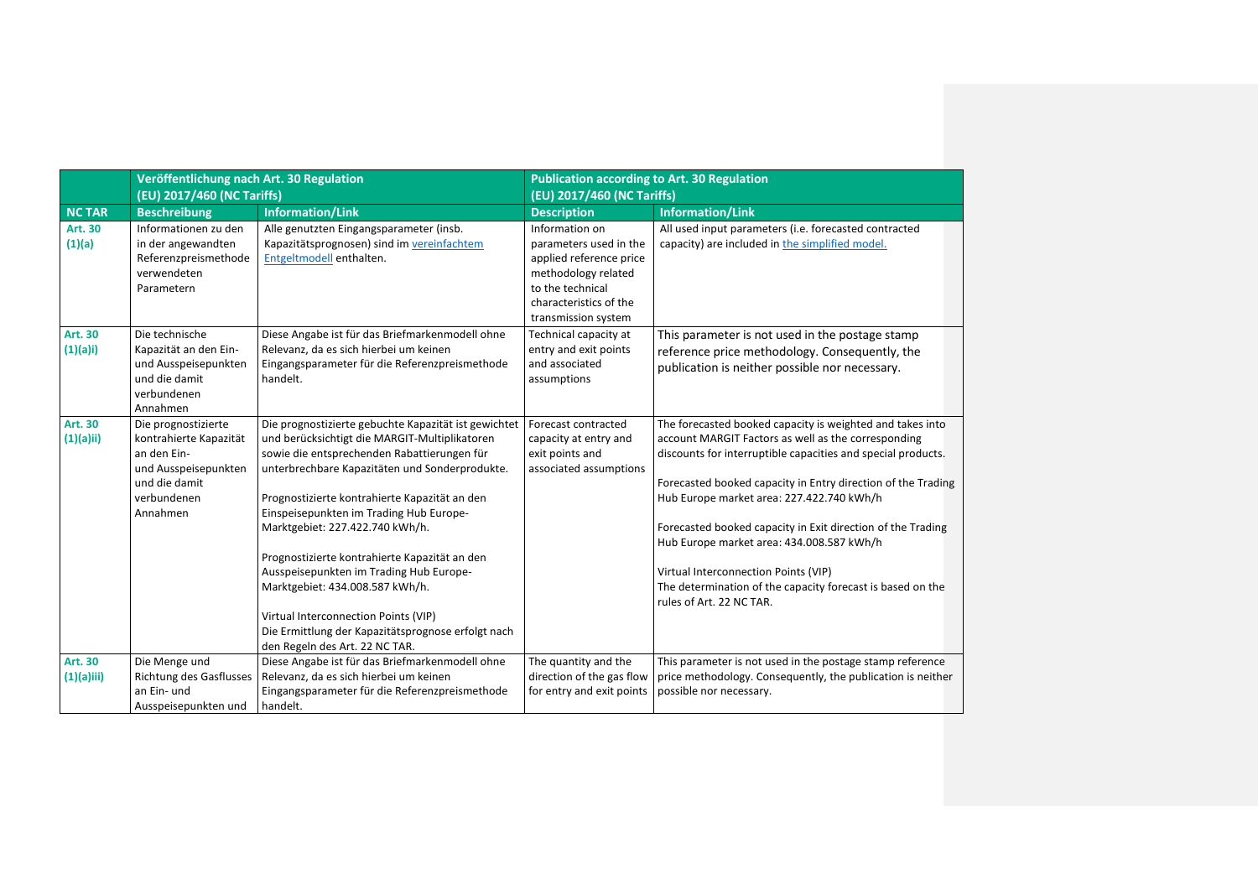|                            | Veröffentlichung nach Art. 30 Regulation<br>(EU) 2017/460 (NC Tariffs)                                                           |                                                                                                                                                                                                                                                                                                                                                                                                                                                                                                                                                                                                      | <b>Publication according to Art. 30 Regulation</b><br>(EU) 2017/460 (NC Tariffs)                                                                                |                                                                                                                                                                                                                                                                                                                                                                                                                                                                                                                                             |
|----------------------------|----------------------------------------------------------------------------------------------------------------------------------|------------------------------------------------------------------------------------------------------------------------------------------------------------------------------------------------------------------------------------------------------------------------------------------------------------------------------------------------------------------------------------------------------------------------------------------------------------------------------------------------------------------------------------------------------------------------------------------------------|-----------------------------------------------------------------------------------------------------------------------------------------------------------------|---------------------------------------------------------------------------------------------------------------------------------------------------------------------------------------------------------------------------------------------------------------------------------------------------------------------------------------------------------------------------------------------------------------------------------------------------------------------------------------------------------------------------------------------|
| <b>NC TAR</b>              | <b>Beschreibung</b>                                                                                                              | <b>Information/Link</b>                                                                                                                                                                                                                                                                                                                                                                                                                                                                                                                                                                              | <b>Description</b>                                                                                                                                              | <b>Information/Link</b>                                                                                                                                                                                                                                                                                                                                                                                                                                                                                                                     |
| Art. 30<br>(1)(a)          | Informationen zu den<br>in der angewandten<br>Referenzpreismethode<br>verwendeten<br>Parametern                                  | Alle genutzten Eingangsparameter (insb.<br>Kapazitätsprognosen) sind im vereinfachtem<br>Entgeltmodell enthalten.                                                                                                                                                                                                                                                                                                                                                                                                                                                                                    | Information on<br>parameters used in the<br>applied reference price<br>methodology related<br>to the technical<br>characteristics of the<br>transmission system | All used input parameters (i.e. forecasted contracted<br>capacity) are included in the simplified model.                                                                                                                                                                                                                                                                                                                                                                                                                                    |
| <b>Art. 30</b><br>(1)(a)i) | Die technische<br>Kapazität an den Ein-<br>und Ausspeisepunkten<br>und die damit<br>verbundenen<br>Annahmen                      | Diese Angabe ist für das Briefmarkenmodell ohne<br>Relevanz, da es sich hierbei um keinen<br>Eingangsparameter für die Referenzpreismethode<br>handelt.                                                                                                                                                                                                                                                                                                                                                                                                                                              | Technical capacity at<br>entry and exit points<br>and associated<br>assumptions                                                                                 | This parameter is not used in the postage stamp<br>reference price methodology. Consequently, the<br>publication is neither possible nor necessary.                                                                                                                                                                                                                                                                                                                                                                                         |
| Art. 30<br>(1)(a)ii)       | Die prognostizierte<br>kontrahierte Kapazität<br>an den Ein-<br>und Ausspeisepunkten<br>und die damit<br>verbundenen<br>Annahmen | Die prognostizierte gebuchte Kapazität ist gewichtet<br>und berücksichtigt die MARGIT-Multiplikatoren<br>sowie die entsprechenden Rabattierungen für<br>unterbrechbare Kapazitäten und Sonderprodukte.<br>Prognostizierte kontrahierte Kapazität an den<br>Einspeisepunkten im Trading Hub Europe-<br>Marktgebiet: 227.422.740 kWh/h.<br>Prognostizierte kontrahierte Kapazität an den<br>Ausspeisepunkten im Trading Hub Europe-<br>Marktgebiet: 434.008.587 kWh/h.<br>Virtual Interconnection Points (VIP)<br>Die Ermittlung der Kapazitätsprognose erfolgt nach<br>den Regeln des Art. 22 NC TAR. | Forecast contracted<br>capacity at entry and<br>exit points and<br>associated assumptions                                                                       | The forecasted booked capacity is weighted and takes into<br>account MARGIT Factors as well as the corresponding<br>discounts for interruptible capacities and special products.<br>Forecasted booked capacity in Entry direction of the Trading<br>Hub Europe market area: 227.422.740 kWh/h<br>Forecasted booked capacity in Exit direction of the Trading<br>Hub Europe market area: 434.008.587 kWh/h<br>Virtual Interconnection Points (VIP)<br>The determination of the capacity forecast is based on the<br>rules of Art. 22 NC TAR. |
| Art. 30<br>$(1)(a)$ iii)   | Die Menge und<br><b>Richtung des Gasflusses</b><br>an Ein- und<br>Ausspeisepunkten und                                           | Diese Angabe ist für das Briefmarkenmodell ohne<br>Relevanz, da es sich hierbei um keinen<br>Eingangsparameter für die Referenzpreismethode<br>handelt.                                                                                                                                                                                                                                                                                                                                                                                                                                              | The quantity and the<br>direction of the gas flow<br>for entry and exit points                                                                                  | This parameter is not used in the postage stamp reference<br>price methodology. Consequently, the publication is neither<br>possible nor necessary.                                                                                                                                                                                                                                                                                                                                                                                         |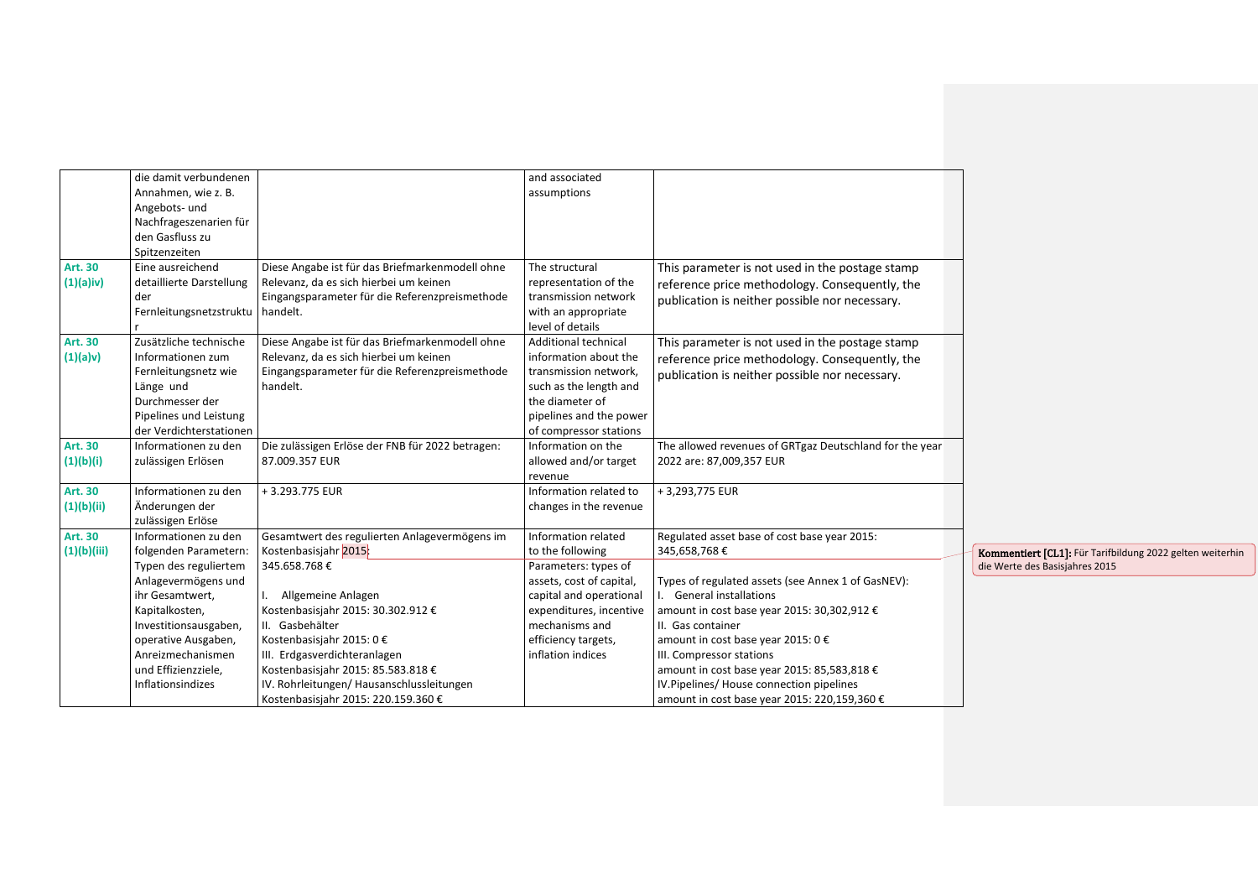|                | die damit verbundenen            |                                                  | and associated           |                                                         |                                                           |
|----------------|----------------------------------|--------------------------------------------------|--------------------------|---------------------------------------------------------|-----------------------------------------------------------|
|                | Annahmen, wie z. B.              |                                                  | assumptions              |                                                         |                                                           |
|                | Angebots- und                    |                                                  |                          |                                                         |                                                           |
|                | Nachfrageszenarien für           |                                                  |                          |                                                         |                                                           |
|                | den Gasfluss zu                  |                                                  |                          |                                                         |                                                           |
|                | Spitzenzeiten                    |                                                  |                          |                                                         |                                                           |
| <b>Art. 30</b> | Eine ausreichend                 | Diese Angabe ist für das Briefmarkenmodell ohne  | The structural           | This parameter is not used in the postage stamp         |                                                           |
| $(1)(a)$ iv)   | detaillierte Darstellung         | Relevanz, da es sich hierbei um keinen           | representation of the    | reference price methodology. Consequently, the          |                                                           |
|                | der                              | Eingangsparameter für die Referenzpreismethode   | transmission network     | publication is neither possible nor necessary.          |                                                           |
|                | Fernleitungsnetzstruktu handelt. |                                                  | with an appropriate      |                                                         |                                                           |
|                |                                  |                                                  | level of details         |                                                         |                                                           |
| <b>Art. 30</b> | Zusätzliche technische           | Diese Angabe ist für das Briefmarkenmodell ohne  | Additional technical     | This parameter is not used in the postage stamp         |                                                           |
| (1)(a)v)       | Informationen zum                | Relevanz, da es sich hierbei um keinen           | information about the    | reference price methodology. Consequently, the          |                                                           |
|                | Fernleitungsnetz wie             | Eingangsparameter für die Referenzpreismethode   | transmission network,    | publication is neither possible nor necessary.          |                                                           |
|                | Länge und                        | handelt.                                         | such as the length and   |                                                         |                                                           |
|                | Durchmesser der                  |                                                  | the diameter of          |                                                         |                                                           |
|                | Pipelines und Leistung           |                                                  | pipelines and the power  |                                                         |                                                           |
|                | der Verdichterstationen          |                                                  | of compressor stations   |                                                         |                                                           |
| <b>Art. 30</b> | Informationen zu den             | Die zulässigen Erlöse der FNB für 2022 betragen: | Information on the       | The allowed revenues of GRTgaz Deutschland for the year |                                                           |
| (1)(b)(i)      | zulässigen Erlösen               | 87.009.357 EUR                                   | allowed and/or target    | 2022 are: 87,009,357 EUR                                |                                                           |
|                |                                  |                                                  | revenue                  |                                                         |                                                           |
| Art. 30        | Informationen zu den             | +3.293.775 EUR                                   | Information related to   | +3,293,775 EUR                                          |                                                           |
| (1)(b)(ii)     | Änderungen der                   |                                                  | changes in the revenue   |                                                         |                                                           |
|                | zulässigen Erlöse                |                                                  |                          |                                                         |                                                           |
| Art. 30        | Informationen zu den             | Gesamtwert des regulierten Anlagevermögens im    | Information related      | Regulated asset base of cost base year 2015:            |                                                           |
| (1)(b)(iii)    | folgenden Parametern:            | Kostenbasisjahr 2015:                            | to the following         | 345,658,768€                                            | Kommentiert [CL1]: Für Tarifbildung 2022 gelten weiterhin |
|                | Typen des reguliertem            | 345.658.768€                                     | Parameters: types of     |                                                         | die Werte des Basisjahres 2015                            |
|                | Anlagevermögens und              |                                                  | assets, cost of capital, | Types of regulated assets (see Annex 1 of GasNEV):      |                                                           |
|                | ihr Gesamtwert,                  | I. Allgemeine Anlagen                            | capital and operational  | I. General installations                                |                                                           |
|                | Kapitalkosten,                   | Kostenbasisjahr 2015: 30.302.912 €               | expenditures, incentive  | amount in cost base year 2015: 30,302,912 €             |                                                           |
|                | Investitionsausgaben,            | II. Gasbehälter                                  | mechanisms and           | II. Gas container                                       |                                                           |
|                | operative Ausgaben,              | Kostenbasisjahr 2015: 0 €                        | efficiency targets,      | amount in cost base year 2015: 0 €                      |                                                           |
|                | Anreizmechanismen                | III. Erdgasverdichteranlagen                     | inflation indices        | III. Compressor stations                                |                                                           |
|                | und Effizienzziele,              | Kostenbasisjahr 2015: 85.583.818 €               |                          | amount in cost base year 2015: 85,583,818 €             |                                                           |
|                | Inflationsindizes                | IV. Rohrleitungen/ Hausanschlussleitungen        |                          | IV.Pipelines/ House connection pipelines                |                                                           |
|                |                                  | Kostenbasisjahr 2015: 220.159.360 €              |                          | amount in cost base year 2015: 220,159,360 €            |                                                           |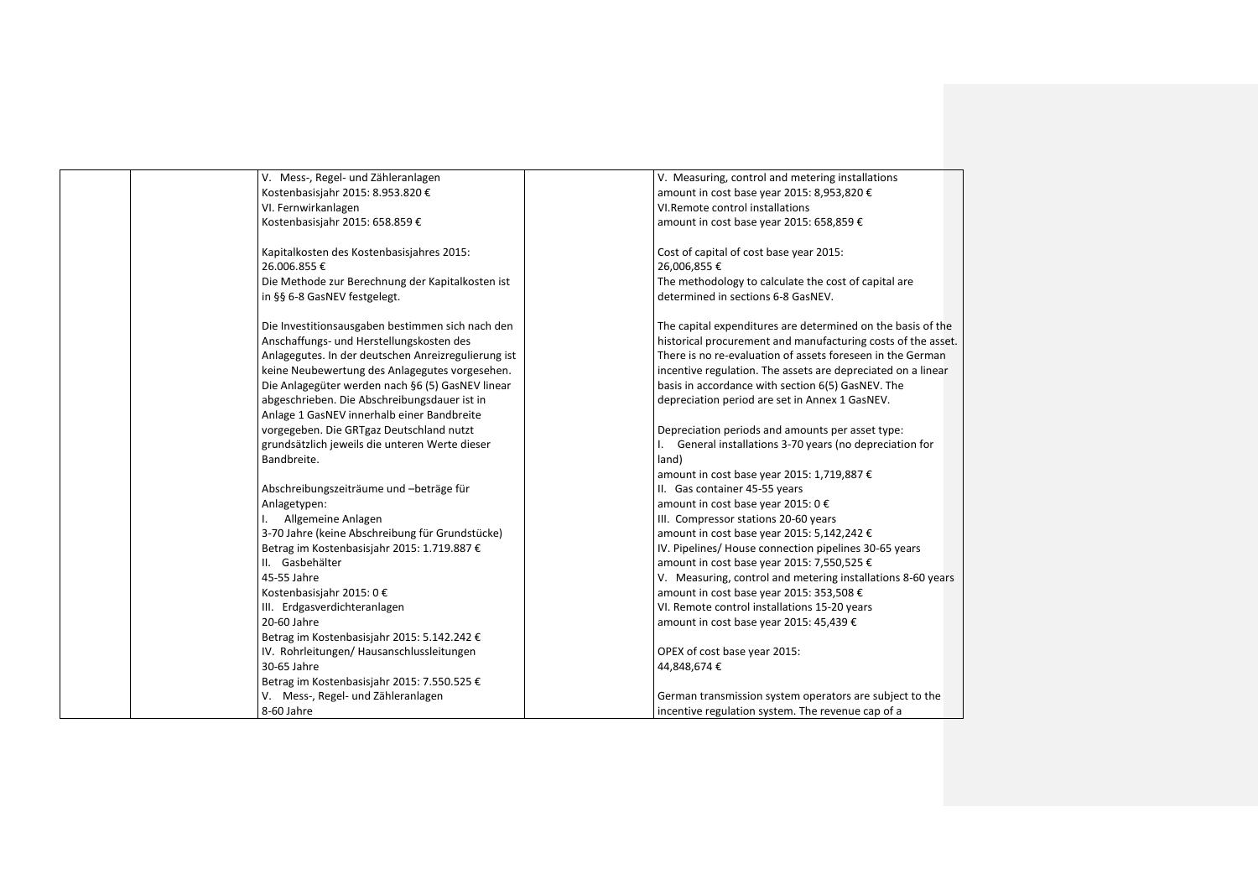| V. Mess-, Regel- und Zähleranlagen                  | V. Measuring, control and metering installations             |
|-----------------------------------------------------|--------------------------------------------------------------|
| Kostenbasisjahr 2015: 8.953.820 €                   | amount in cost base year 2015: 8,953,820 €                   |
| VI. Fernwirkanlagen                                 | VI.Remote control installations                              |
| Kostenbasisjahr 2015: 658.859 €                     | amount in cost base year 2015: 658,859 €                     |
|                                                     |                                                              |
| Kapitalkosten des Kostenbasisjahres 2015:           | Cost of capital of cost base year 2015:                      |
| 26.006.855€                                         | 26,006,855€                                                  |
| Die Methode zur Berechnung der Kapitalkosten ist    | The methodology to calculate the cost of capital are         |
| in §§ 6-8 GasNEV festgelegt.                        | determined in sections 6-8 GasNEV.                           |
|                                                     |                                                              |
| Die Investitionsausgaben bestimmen sich nach den    | The capital expenditures are determined on the basis of the  |
| Anschaffungs- und Herstellungskosten des            | historical procurement and manufacturing costs of the asset. |
| Anlagegutes. In der deutschen Anreizregulierung ist | There is no re-evaluation of assets foreseen in the German   |
| keine Neubewertung des Anlagegutes vorgesehen.      | incentive regulation. The assets are depreciated on a linear |
| Die Anlagegüter werden nach §6 (5) GasNEV linear    | basis in accordance with section 6(5) GasNEV. The            |
| abgeschrieben. Die Abschreibungsdauer ist in        | depreciation period are set in Annex 1 GasNEV.               |
| Anlage 1 GasNEV innerhalb einer Bandbreite          |                                                              |
| vorgegeben. Die GRTgaz Deutschland nutzt            | Depreciation periods and amounts per asset type:             |
| grundsätzlich jeweils die unteren Werte dieser      | General installations 3-70 years (no depreciation for        |
| Bandbreite.                                         | land)                                                        |
|                                                     | amount in cost base year 2015: 1,719,887 €                   |
| Abschreibungszeiträume und -beträge für             | II. Gas container 45-55 years                                |
| Anlagetypen:                                        | amount in cost base year 2015: 0 €                           |
| Allgemeine Anlagen<br>L.                            | III. Compressor stations 20-60 years                         |
| 3-70 Jahre (keine Abschreibung für Grundstücke)     | amount in cost base year 2015: 5,142,242 €                   |
| Betrag im Kostenbasisjahr 2015: 1.719.887 €         | IV. Pipelines/ House connection pipelines 30-65 years        |
| II. Gasbehälter                                     | amount in cost base year 2015: 7,550,525 €                   |
| 45-55 Jahre                                         | V. Measuring, control and metering installations 8-60 years  |
| Kostenbasisjahr 2015: 0 €                           | amount in cost base year 2015: 353,508 €                     |
| III. Erdgasverdichteranlagen                        | VI. Remote control installations 15-20 years                 |
| 20-60 Jahre                                         | amount in cost base year 2015: 45,439 €                      |
| Betrag im Kostenbasisjahr 2015: 5.142.242 €         |                                                              |
| IV. Rohrleitungen/Hausanschlussleitungen            | OPEX of cost base year 2015:                                 |
| 30-65 Jahre                                         | 44,848,674€                                                  |
| Betrag im Kostenbasisjahr 2015: 7.550.525 €         |                                                              |
| V. Mess-, Regel- und Zähleranlagen                  | German transmission system operators are subject to the      |
| 8-60 Jahre                                          | incentive regulation system. The revenue cap of a            |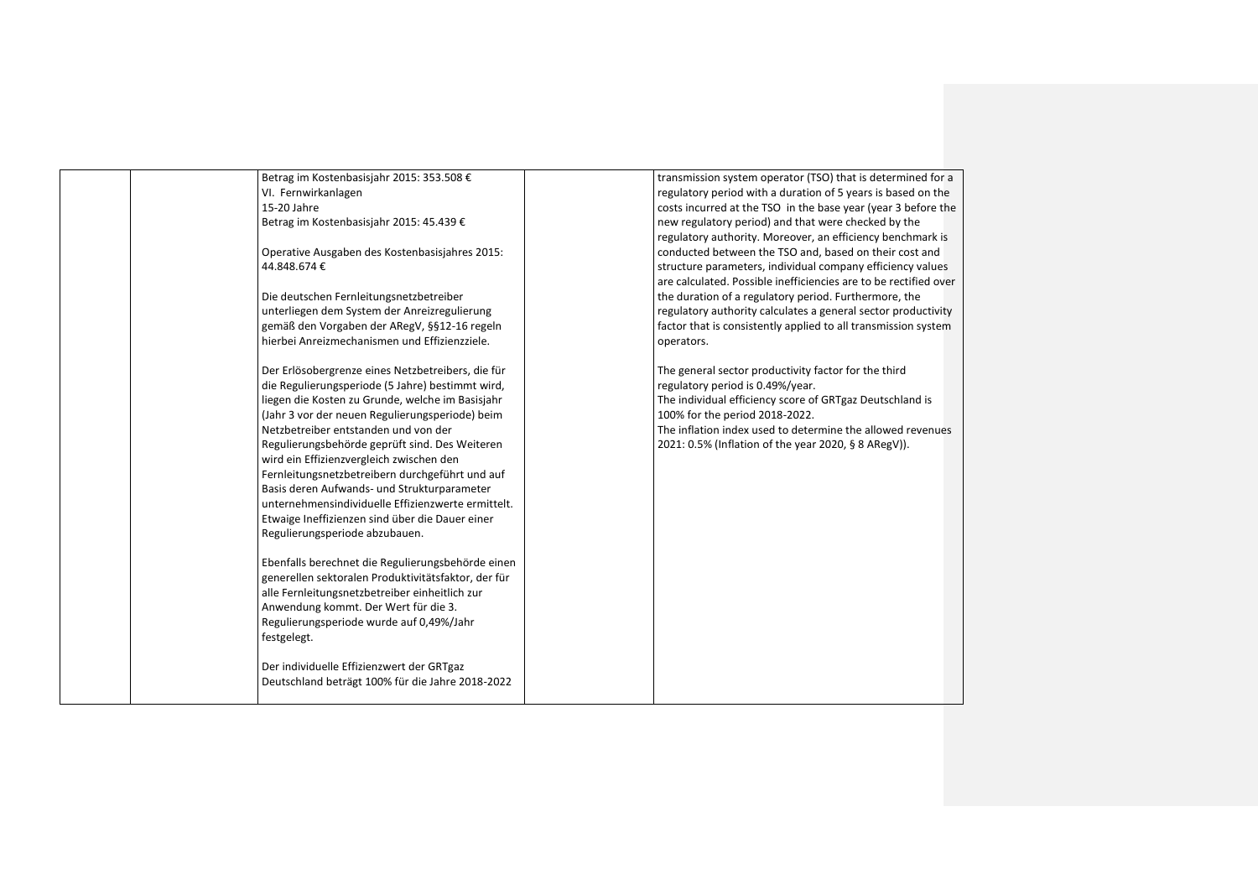| Betrag im Kostenbasisjahr 2015: 353.508 €           | transmission system operator (TSO) that is determined for a      |
|-----------------------------------------------------|------------------------------------------------------------------|
| VI. Fernwirkanlagen                                 | regulatory period with a duration of 5 years is based on the     |
| 15-20 Jahre                                         | costs incurred at the TSO in the base year (year 3 before the    |
| Betrag im Kostenbasisjahr 2015: 45.439 €            | new regulatory period) and that were checked by the              |
|                                                     | regulatory authority. Moreover, an efficiency benchmark is       |
| Operative Ausgaben des Kostenbasisjahres 2015:      | conducted between the TSO and, based on their cost and           |
| 44.848.674€                                         | structure parameters, individual company efficiency values       |
|                                                     | are calculated. Possible inefficiencies are to be rectified over |
| Die deutschen Fernleitungsnetzbetreiber             | the duration of a regulatory period. Furthermore, the            |
| unterliegen dem System der Anreizregulierung        | regulatory authority calculates a general sector productivity    |
| gemäß den Vorgaben der ARegV, §§12-16 regeln        | factor that is consistently applied to all transmission system   |
| hierbei Anreizmechanismen und Effizienzziele.       | operators.                                                       |
|                                                     |                                                                  |
| Der Erlösobergrenze eines Netzbetreibers, die für   | The general sector productivity factor for the third             |
| die Regulierungsperiode (5 Jahre) bestimmt wird,    | regulatory period is 0.49%/year.                                 |
| liegen die Kosten zu Grunde, welche im Basisjahr    | The individual efficiency score of GRTgaz Deutschland is         |
| (Jahr 3 vor der neuen Regulierungsperiode) beim     | 100% for the period 2018-2022.                                   |
| Netzbetreiber entstanden und von der                | The inflation index used to determine the allowed revenues       |
| Regulierungsbehörde geprüft sind. Des Weiteren      | 2021: 0.5% (Inflation of the year 2020, § 8 ARegV)).             |
| wird ein Effizienzvergleich zwischen den            |                                                                  |
| Fernleitungsnetzbetreibern durchgeführt und auf     |                                                                  |
| Basis deren Aufwands- und Strukturparameter         |                                                                  |
| unternehmensindividuelle Effizienzwerte ermittelt.  |                                                                  |
| Etwaige Ineffizienzen sind über die Dauer einer     |                                                                  |
| Regulierungsperiode abzubauen.                      |                                                                  |
|                                                     |                                                                  |
| Ebenfalls berechnet die Regulierungsbehörde einen   |                                                                  |
| generellen sektoralen Produktivitätsfaktor, der für |                                                                  |
| alle Fernleitungsnetzbetreiber einheitlich zur      |                                                                  |
| Anwendung kommt. Der Wert für die 3.                |                                                                  |
| Regulierungsperiode wurde auf 0,49%/Jahr            |                                                                  |
| festgelegt.                                         |                                                                  |
|                                                     |                                                                  |
| Der individuelle Effizienzwert der GRTgaz           |                                                                  |
| Deutschland beträgt 100% für die Jahre 2018-2022    |                                                                  |
|                                                     |                                                                  |
|                                                     |                                                                  |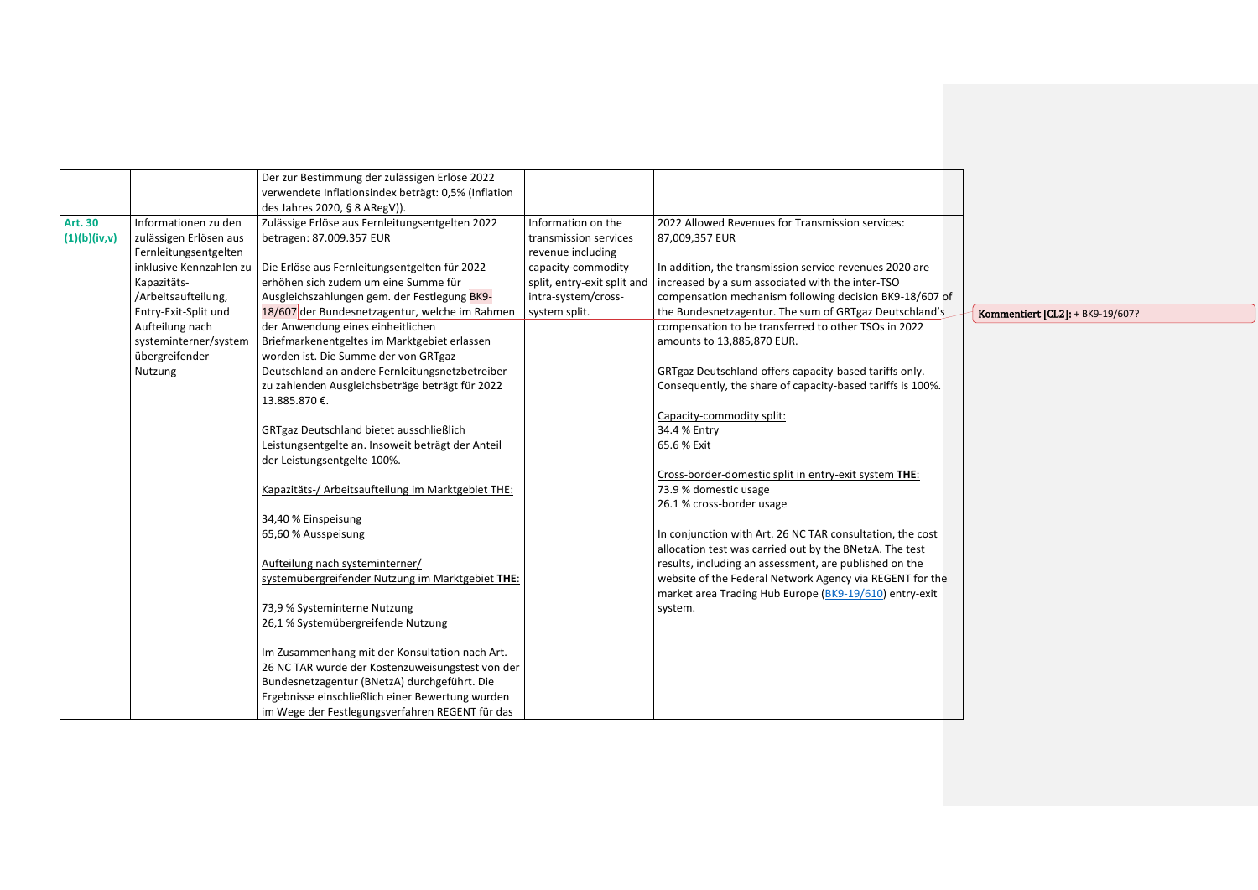|                |                         | Der zur Bestimmung der zulässigen Erlöse 2022       |                             |                                                            |                                         |
|----------------|-------------------------|-----------------------------------------------------|-----------------------------|------------------------------------------------------------|-----------------------------------------|
|                |                         | verwendete Inflationsindex beträgt: 0,5% (Inflation |                             |                                                            |                                         |
|                |                         | des Jahres 2020, § 8 ARegV)).                       |                             |                                                            |                                         |
| <b>Art. 30</b> | Informationen zu den    | Zulässige Erlöse aus Fernleitungsentgelten 2022     | Information on the          | 2022 Allowed Revenues for Transmission services:           |                                         |
| (1)(b)(iv,v)   | zulässigen Erlösen aus  | betragen: 87.009.357 EUR                            | transmission services       | 87,009,357 EUR                                             |                                         |
|                | Fernleitungsentgelten   |                                                     | revenue including           |                                                            |                                         |
|                | inklusive Kennzahlen zu | Die Erlöse aus Fernleitungsentgelten für 2022       | capacity-commodity          | In addition, the transmission service revenues 2020 are    |                                         |
|                | Kapazitäts-             | erhöhen sich zudem um eine Summe für                | split, entry-exit split and | increased by a sum associated with the inter-TSO           |                                         |
|                | /Arbeitsaufteilung,     | Ausgleichszahlungen gem. der Festlegung BK9-        | intra-system/cross-         | compensation mechanism following decision BK9-18/607 of    |                                         |
|                | Entry-Exit-Split und    | 18/607 der Bundesnetzagentur, welche im Rahmen      | system split.               | the Bundesnetzagentur. The sum of GRTgaz Deutschland's     | <b>Kommentiert [CL2]: + BK9-19/607?</b> |
|                | Aufteilung nach         | der Anwendung eines einheitlichen                   |                             | compensation to be transferred to other TSOs in 2022       |                                         |
|                | systeminterner/system   | Briefmarkenentgeltes im Marktgebiet erlassen        |                             | amounts to 13,885,870 EUR.                                 |                                         |
|                | übergreifender          | worden ist. Die Summe der von GRTgaz                |                             |                                                            |                                         |
|                | Nutzung                 | Deutschland an andere Fernleitungsnetzbetreiber     |                             | GRTgaz Deutschland offers capacity-based tariffs only.     |                                         |
|                |                         | zu zahlenden Ausgleichsbeträge beträgt für 2022     |                             | Consequently, the share of capacity-based tariffs is 100%. |                                         |
|                |                         | 13.885.870 €.                                       |                             |                                                            |                                         |
|                |                         |                                                     |                             | Capacity-commodity split:                                  |                                         |
|                |                         | GRTgaz Deutschland bietet ausschließlich            |                             | 34.4 % Entry                                               |                                         |
|                |                         | Leistungsentgelte an. Insoweit beträgt der Anteil   |                             | 65.6 % Exit                                                |                                         |
|                |                         | der Leistungsentgelte 100%.                         |                             |                                                            |                                         |
|                |                         |                                                     |                             | Cross-border-domestic split in entry-exit system THE:      |                                         |
|                |                         | Kapazitäts-/ Arbeitsaufteilung im Marktgebiet THE:  |                             | 73.9 % domestic usage                                      |                                         |
|                |                         |                                                     |                             | 26.1 % cross-border usage                                  |                                         |
|                |                         | 34,40 % Einspeisung                                 |                             |                                                            |                                         |
|                |                         | 65,60 % Ausspeisung                                 |                             | In conjunction with Art. 26 NC TAR consultation, the cost  |                                         |
|                |                         |                                                     |                             | allocation test was carried out by the BNetzA. The test    |                                         |
|                |                         | Aufteilung nach systeminterner/                     |                             | results, including an assessment, are published on the     |                                         |
|                |                         | systemübergreifender Nutzung im Marktgebiet THE:    |                             | website of the Federal Network Agency via REGENT for the   |                                         |
|                |                         |                                                     |                             | market area Trading Hub Europe (BK9-19/610) entry-exit     |                                         |
|                |                         | 73,9 % Systeminterne Nutzung                        |                             | system.                                                    |                                         |
|                |                         | 26,1 % Systemübergreifende Nutzung                  |                             |                                                            |                                         |
|                |                         | Im Zusammenhang mit der Konsultation nach Art.      |                             |                                                            |                                         |
|                |                         | 26 NC TAR wurde der Kostenzuweisungstest von der    |                             |                                                            |                                         |
|                |                         | Bundesnetzagentur (BNetzA) durchgeführt. Die        |                             |                                                            |                                         |
|                |                         | Ergebnisse einschließlich einer Bewertung wurden    |                             |                                                            |                                         |
|                |                         | im Wege der Festlegungsverfahren REGENT für das     |                             |                                                            |                                         |
|                |                         |                                                     |                             |                                                            |                                         |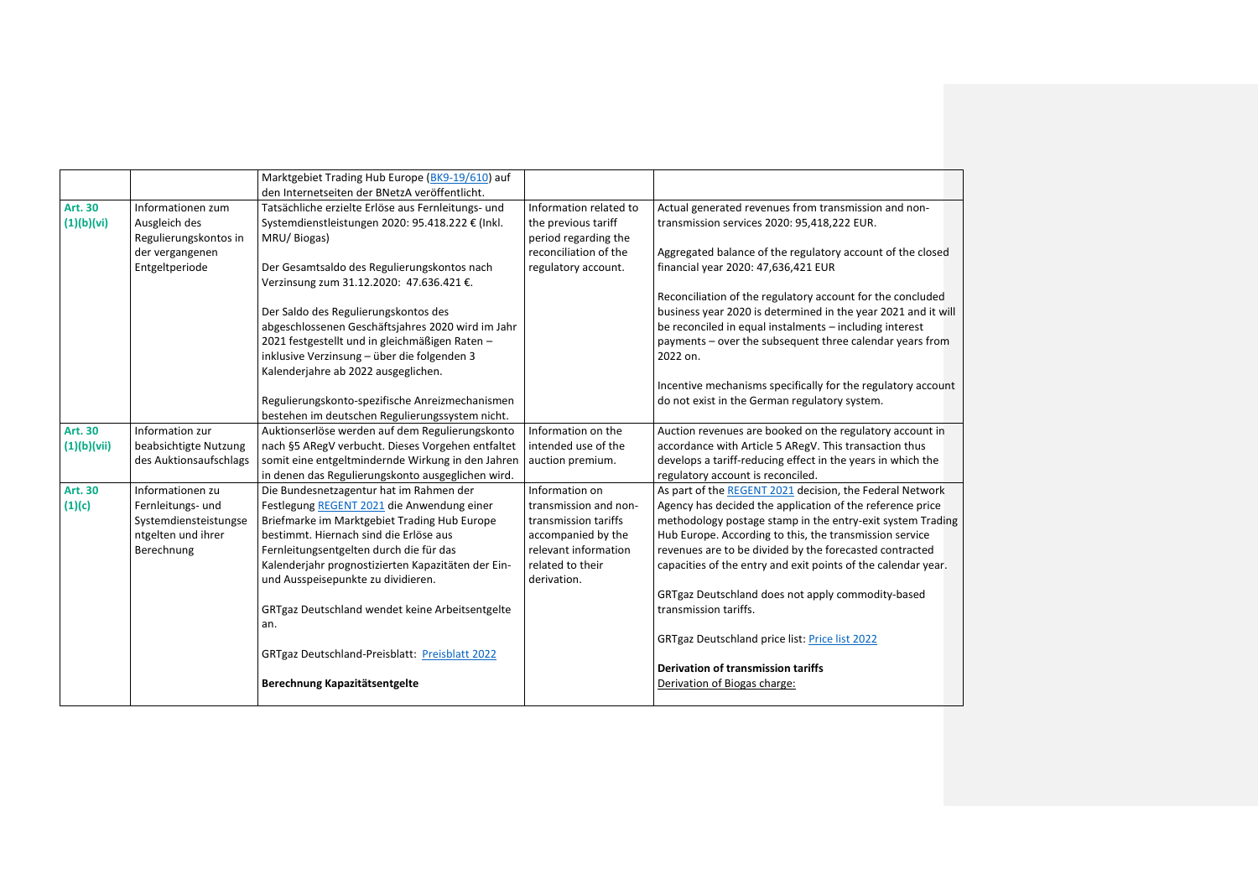|                              |                                                                                | Marktgebiet Trading Hub Europe (BK9-19/610) auf<br>den Internetseiten der BNetzA veröffentlicht.                                                                                                                                      |                                                                                                                 |                                                                                                                                                                                                                                                                                                                |
|------------------------------|--------------------------------------------------------------------------------|---------------------------------------------------------------------------------------------------------------------------------------------------------------------------------------------------------------------------------------|-----------------------------------------------------------------------------------------------------------------|----------------------------------------------------------------------------------------------------------------------------------------------------------------------------------------------------------------------------------------------------------------------------------------------------------------|
| <b>Art. 30</b><br>(1)(b)(vi) | Informationen zum<br>Ausgleich des<br>Regulierungskontos in                    | Tatsächliche erzielte Erlöse aus Fernleitungs- und<br>Systemdienstleistungen 2020: 95.418.222 € (Inkl.<br>MRU/Biogas)                                                                                                                 | Information related to<br>the previous tariff<br>period regarding the                                           | Actual generated revenues from transmission and non-<br>transmission services 2020: 95,418,222 EUR.                                                                                                                                                                                                            |
|                              | der vergangenen<br>Entgeltperiode                                              | Der Gesamtsaldo des Regulierungskontos nach<br>Verzinsung zum 31.12.2020: 47.636.421 €.                                                                                                                                               | reconciliation of the<br>regulatory account.                                                                    | Aggregated balance of the regulatory account of the closed<br>financial year 2020: 47,636,421 EUR                                                                                                                                                                                                              |
|                              |                                                                                |                                                                                                                                                                                                                                       |                                                                                                                 | Reconciliation of the regulatory account for the concluded                                                                                                                                                                                                                                                     |
|                              |                                                                                | Der Saldo des Regulierungskontos des<br>abgeschlossenen Geschäftsjahres 2020 wird im Jahr<br>2021 festgestellt und in gleichmäßigen Raten -<br>inklusive Verzinsung - über die folgenden 3<br>Kalenderjahre ab 2022 ausgeglichen.     |                                                                                                                 | business year 2020 is determined in the year 2021 and it will<br>be reconciled in equal instalments - including interest<br>payments - over the subsequent three calendar years from<br>2022 on.                                                                                                               |
|                              |                                                                                | Regulierungskonto-spezifische Anreizmechanismen<br>bestehen im deutschen Regulierungssystem nicht.                                                                                                                                    |                                                                                                                 | Incentive mechanisms specifically for the regulatory account<br>do not exist in the German regulatory system.                                                                                                                                                                                                  |
| <b>Art. 30</b>               | Information zur                                                                | Auktionserlöse werden auf dem Regulierungskonto                                                                                                                                                                                       | Information on the                                                                                              | Auction revenues are booked on the regulatory account in                                                                                                                                                                                                                                                       |
| (1)(b)(vii)                  | beabsichtigte Nutzung<br>des Auktionsaufschlags                                | nach §5 ARegV verbucht. Dieses Vorgehen entfaltet<br>somit eine entgeltmindernde Wirkung in den Jahren<br>in denen das Regulierungskonto ausgeglichen wird.                                                                           | intended use of the<br>auction premium.                                                                         | accordance with Article 5 ARegV. This transaction thus<br>develops a tariff-reducing effect in the years in which the<br>regulatory account is reconciled.                                                                                                                                                     |
| Art. 30                      | Informationen zu                                                               | Die Bundesnetzagentur hat im Rahmen der                                                                                                                                                                                               | Information on                                                                                                  | As part of the REGENT 2021 decision, the Federal Network                                                                                                                                                                                                                                                       |
| (1)(c)                       | Fernleitungs- und<br>Systemdiensteistungse<br>ntgelten und ihrer<br>Berechnung | Festlegung REGENT 2021 die Anwendung einer<br>Briefmarke im Marktgebiet Trading Hub Europe<br>bestimmt. Hiernach sind die Erlöse aus<br>Fernleitungsentgelten durch die für das<br>Kalenderjahr prognostizierten Kapazitäten der Ein- | transmission and non-<br>transmission tariffs<br>accompanied by the<br>relevant information<br>related to their | Agency has decided the application of the reference price<br>methodology postage stamp in the entry-exit system Trading<br>Hub Europe. According to this, the transmission service<br>revenues are to be divided by the forecasted contracted<br>capacities of the entry and exit points of the calendar year. |
|                              |                                                                                | und Ausspeisepunkte zu dividieren.<br>GRTgaz Deutschland wendet keine Arbeitsentgelte<br>an.                                                                                                                                          | derivation.                                                                                                     | GRTgaz Deutschland does not apply commodity-based<br>transmission tariffs.                                                                                                                                                                                                                                     |
|                              |                                                                                |                                                                                                                                                                                                                                       |                                                                                                                 | GRTgaz Deutschland price list: Price list 2022                                                                                                                                                                                                                                                                 |
|                              |                                                                                | <b>GRTgaz Deutschland-Preisblatt: Preisblatt 2022</b>                                                                                                                                                                                 |                                                                                                                 | Derivation of transmission tariffs                                                                                                                                                                                                                                                                             |
|                              |                                                                                | Berechnung Kapazitätsentgelte                                                                                                                                                                                                         |                                                                                                                 | Derivation of Biogas charge:                                                                                                                                                                                                                                                                                   |
|                              |                                                                                |                                                                                                                                                                                                                                       |                                                                                                                 |                                                                                                                                                                                                                                                                                                                |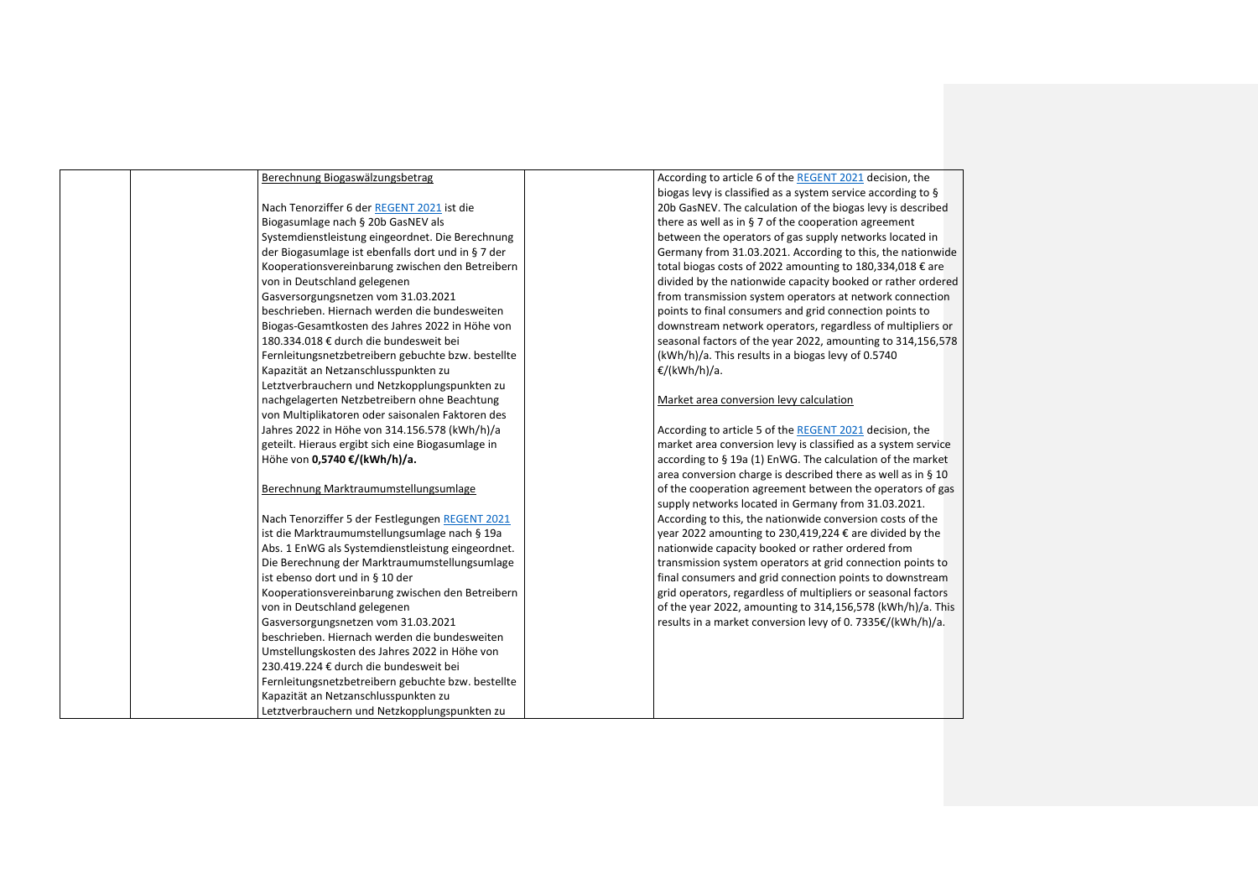| Berechnung Biogaswälzungsbetrag                    | According to article 6 of the REGENT 2021 decision, the       |
|----------------------------------------------------|---------------------------------------------------------------|
|                                                    | biogas levy is classified as a system service according to §  |
| Nach Tenorziffer 6 der REGENT 2021 ist die         | 20b GasNEV. The calculation of the biogas levy is described   |
| Biogasumlage nach § 20b GasNEV als                 | there as well as in $\S$ 7 of the cooperation agreement       |
| Systemdienstleistung eingeordnet. Die Berechnung   | between the operators of gas supply networks located in       |
| der Biogasumlage ist ebenfalls dort und in § 7 der | Germany from 31.03.2021. According to this, the nationwide    |
| Kooperationsvereinbarung zwischen den Betreibern   | total biogas costs of 2022 amounting to 180,334,018 € are     |
| von in Deutschland gelegenen                       | divided by the nationwide capacity booked or rather ordered   |
| Gasversorgungsnetzen vom 31.03.2021                | from transmission system operators at network connection      |
| beschrieben. Hiernach werden die bundesweiten      | points to final consumers and grid connection points to       |
| Biogas-Gesamtkosten des Jahres 2022 in Höhe von    | downstream network operators, regardless of multipliers or    |
| 180.334.018 € durch die bundesweit bei             | seasonal factors of the year 2022, amounting to 314,156,578   |
| Fernleitungsnetzbetreibern gebuchte bzw. bestellte | (kWh/h)/a. This results in a biogas levy of 0.5740            |
| Kapazität an Netzanschlusspunkten zu               | €/(kWh/h)/a.                                                  |
| Letztverbrauchern und Netzkopplungspunkten zu      |                                                               |
| nachgelagerten Netzbetreibern ohne Beachtung       | Market area conversion levy calculation                       |
| von Multiplikatoren oder saisonalen Faktoren des   |                                                               |
| Jahres 2022 in Höhe von 314.156.578 (kWh/h)/a      | According to article 5 of the REGENT 2021 decision, the       |
| geteilt. Hieraus ergibt sich eine Biogasumlage in  | market area conversion levy is classified as a system service |
| Höhe von 0,5740 €/(kWh/h)/a.                       | according to § 19a (1) EnWG. The calculation of the market    |
|                                                    | area conversion charge is described there as well as in § 10  |
| Berechnung Marktraumumstellungsumlage              | of the cooperation agreement between the operators of gas     |
|                                                    | supply networks located in Germany from 31.03.2021.           |
| Nach Tenorziffer 5 der Festlegungen REGENT 2021    | According to this, the nationwide conversion costs of the     |
| ist die Marktraumumstellungsumlage nach § 19a      | year 2022 amounting to 230,419,224 € are divided by the       |
| Abs. 1 EnWG als Systemdienstleistung eingeordnet.  | nationwide capacity booked or rather ordered from             |
| Die Berechnung der Marktraumumstellungsumlage      | transmission system operators at grid connection points to    |
| ist ebenso dort und in § 10 der                    | final consumers and grid connection points to downstream      |
| Kooperationsvereinbarung zwischen den Betreibern   | grid operators, regardless of multipliers or seasonal factors |
| von in Deutschland gelegenen                       | of the year 2022, amounting to 314,156,578 (kWh/h)/a. This    |
| Gasversorgungsnetzen vom 31.03.2021                | results in a market conversion levy of 0. 7335€/(kWh/h)/a.    |
| beschrieben. Hiernach werden die bundesweiten      |                                                               |
| Umstellungskosten des Jahres 2022 in Höhe von      |                                                               |
| 230.419.224 € durch die bundesweit bei             |                                                               |
| Fernleitungsnetzbetreibern gebuchte bzw. bestellte |                                                               |
| Kapazität an Netzanschlusspunkten zu               |                                                               |
| Letztverbrauchern und Netzkopplungspunkten zu      |                                                               |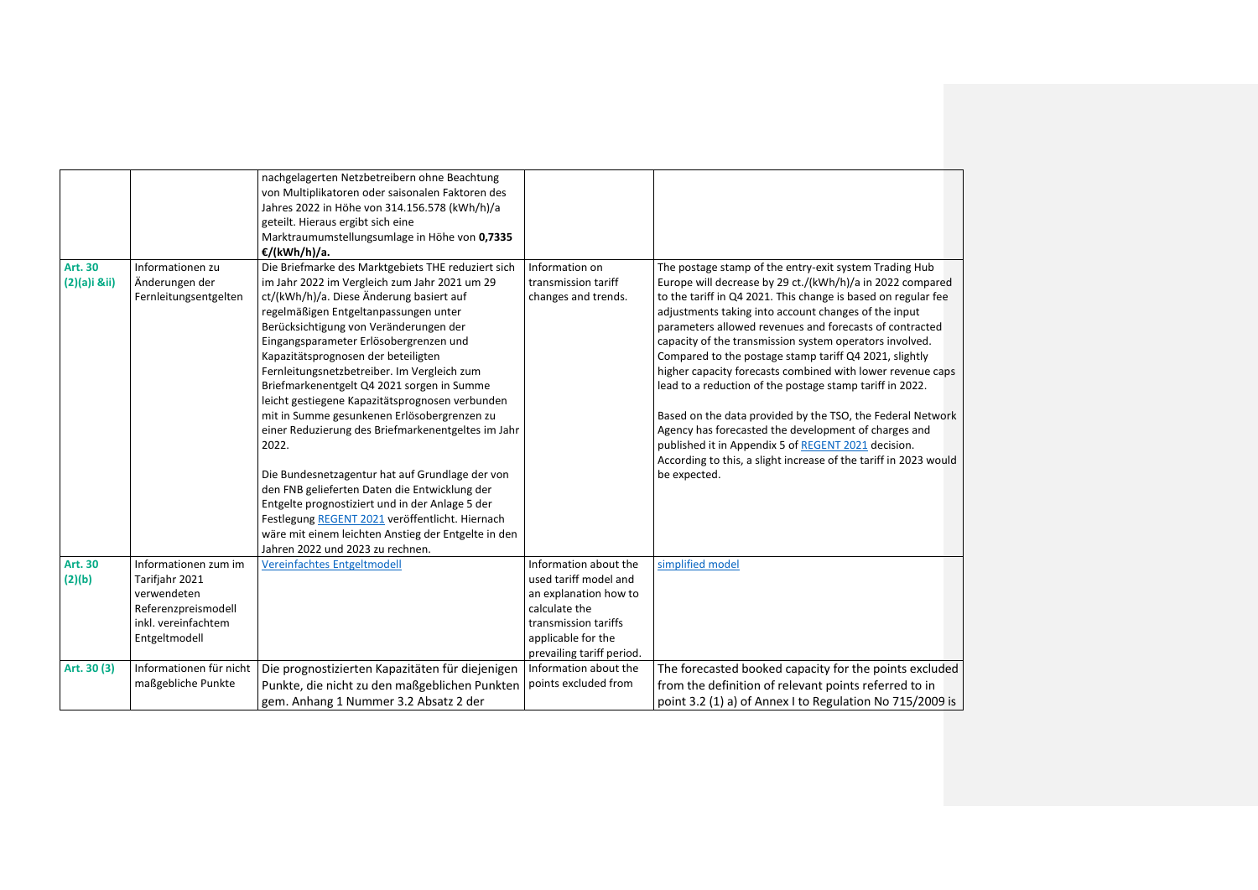| Art. 30<br>$(2)(a)$ i ⅈ) | Informationen zu<br>Änderungen der                                                                                   | nachgelagerten Netzbetreibern ohne Beachtung<br>von Multiplikatoren oder saisonalen Faktoren des<br>Jahres 2022 in Höhe von 314.156.578 (kWh/h)/a<br>geteilt. Hieraus ergibt sich eine<br>Marktraumumstellungsumlage in Höhe von 0,7335<br>€/(kWh/h)/a.<br>Die Briefmarke des Marktgebiets THE reduziert sich<br>im Jahr 2022 im Vergleich zum Jahr 2021 um 29                                                                                                                                                                                                                                                                                                                                                                                                                  | Information on<br>transmission tariff                                                                                                                               | The postage stamp of the entry-exit system Trading Hub<br>Europe will decrease by 29 ct./(kWh/h)/a in 2022 compared                                                                                                                                                                                                                                                                                                                                                                                                                                                                                                                                                                              |
|--------------------------|----------------------------------------------------------------------------------------------------------------------|---------------------------------------------------------------------------------------------------------------------------------------------------------------------------------------------------------------------------------------------------------------------------------------------------------------------------------------------------------------------------------------------------------------------------------------------------------------------------------------------------------------------------------------------------------------------------------------------------------------------------------------------------------------------------------------------------------------------------------------------------------------------------------|---------------------------------------------------------------------------------------------------------------------------------------------------------------------|--------------------------------------------------------------------------------------------------------------------------------------------------------------------------------------------------------------------------------------------------------------------------------------------------------------------------------------------------------------------------------------------------------------------------------------------------------------------------------------------------------------------------------------------------------------------------------------------------------------------------------------------------------------------------------------------------|
|                          | Fernleitungsentgelten                                                                                                | ct/(kWh/h)/a. Diese Änderung basiert auf<br>regelmäßigen Entgeltanpassungen unter<br>Berücksichtigung von Veränderungen der<br>Eingangsparameter Erlösobergrenzen und<br>Kapazitätsprognosen der beteiligten<br>Fernleitungsnetzbetreiber. Im Vergleich zum<br>Briefmarkenentgelt Q4 2021 sorgen in Summe<br>leicht gestiegene Kapazitätsprognosen verbunden<br>mit in Summe gesunkenen Erlösobergrenzen zu<br>einer Reduzierung des Briefmarkenentgeltes im Jahr<br>2022.<br>Die Bundesnetzagentur hat auf Grundlage der von<br>den FNB gelieferten Daten die Entwicklung der<br>Entgelte prognostiziert und in der Anlage 5 der<br>Festlegung REGENT 2021 veröffentlicht. Hiernach<br>wäre mit einem leichten Anstieg der Entgelte in den<br>Jahren 2022 und 2023 zu rechnen. | changes and trends.                                                                                                                                                 | to the tariff in Q4 2021. This change is based on regular fee<br>adjustments taking into account changes of the input<br>parameters allowed revenues and forecasts of contracted<br>capacity of the transmission system operators involved.<br>Compared to the postage stamp tariff Q4 2021, slightly<br>higher capacity forecasts combined with lower revenue caps<br>lead to a reduction of the postage stamp tariff in 2022.<br>Based on the data provided by the TSO, the Federal Network<br>Agency has forecasted the development of charges and<br>published it in Appendix 5 of REGENT 2021 decision.<br>According to this, a slight increase of the tariff in 2023 would<br>be expected. |
| Art. 30<br>(2)(b)        | Informationen zum im<br>Tarifjahr 2021<br>verwendeten<br>Referenzpreismodell<br>inkl. vereinfachtem<br>Entgeltmodell | Vereinfachtes Entgeltmodell                                                                                                                                                                                                                                                                                                                                                                                                                                                                                                                                                                                                                                                                                                                                                     | Information about the<br>used tariff model and<br>an explanation how to<br>calculate the<br>transmission tariffs<br>applicable for the<br>prevailing tariff period. | simplified model                                                                                                                                                                                                                                                                                                                                                                                                                                                                                                                                                                                                                                                                                 |
| Art. 30 (3)              | Informationen für nicht<br>maßgebliche Punkte                                                                        | Die prognostizierten Kapazitäten für diejenigen<br>Punkte, die nicht zu den maßgeblichen Punkten<br>gem. Anhang 1 Nummer 3.2 Absatz 2 der                                                                                                                                                                                                                                                                                                                                                                                                                                                                                                                                                                                                                                       | Information about the<br>points excluded from                                                                                                                       | The forecasted booked capacity for the points excluded<br>from the definition of relevant points referred to in<br>point 3.2 (1) a) of Annex I to Regulation No 715/2009 is                                                                                                                                                                                                                                                                                                                                                                                                                                                                                                                      |